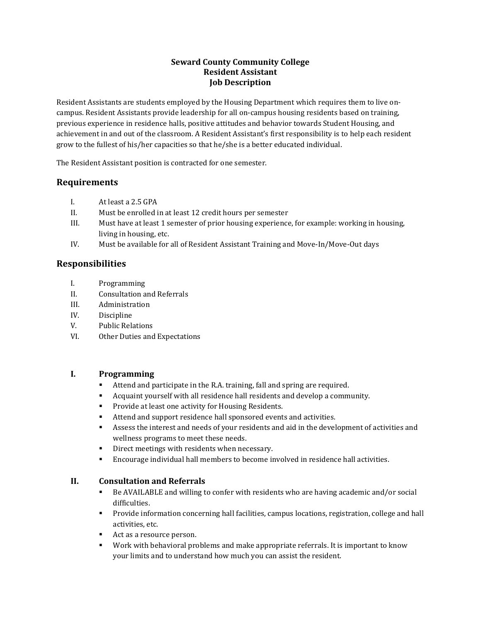## **Seward County Community College Resident Assistant Job Description**

Resident Assistants are students employed by the Housing Department which requires them to live oncampus. Resident Assistants provide leadership for all on-campus housing residents based on training, previous experience in residence halls, positive attitudes and behavior towards Student Housing, and achievement in and out of the classroom. A Resident Assistant's first responsibility is to help each resident grow to the fullest of his/her capacities so that he/she is a better educated individual.

The Resident Assistant position is contracted for one semester.

# **Requirements**

- I. At least a 2.5 GPA
- II. Must be enrolled in at least 12 credit hours per semester
- III. Must have at least 1 semester of prior housing experience, for example: working in housing, living in housing, etc.
- IV. Must be available for all of Resident Assistant Training and Move-In/Move-Out days

## **Responsibilities**

- I. Programming<br>II. Consultation a
- Consultation and Referrals
- III. Administration
- IV. Discipline
- V. Public Relations
- VI. Other Duties and Expectations

## **I. Programming**

- Attend and participate in the R.A. training, fall and spring are required.
- Acquaint yourself with all residence hall residents and develop a community.<br>Provide at least one activity for Housing Residents
- Provide at least one activity for Housing Residents.
- Attend and support residence hall sponsored events and activities.<br>■ Assess the interest and needs of your residents and aid in the devel
- Assess the interest and needs of your residents and aid in the development of activities and wellness programs to meet these needs.
- Direct meetings with residents when necessary.
- Encourage individual hall members to become involved in residence hall activities.

#### **II. Consultation and Referrals**

- Be AVAILABLE and willing to confer with residents who are having academic and/or social difficulties.
- **Provide information concerning hall facilities, campus locations, registration, college and hall** activities, etc.
- Act as a resource person.
- Work with behavioral problems and make appropriate referrals. It is important to know your limits and to understand how much you can assist the resident.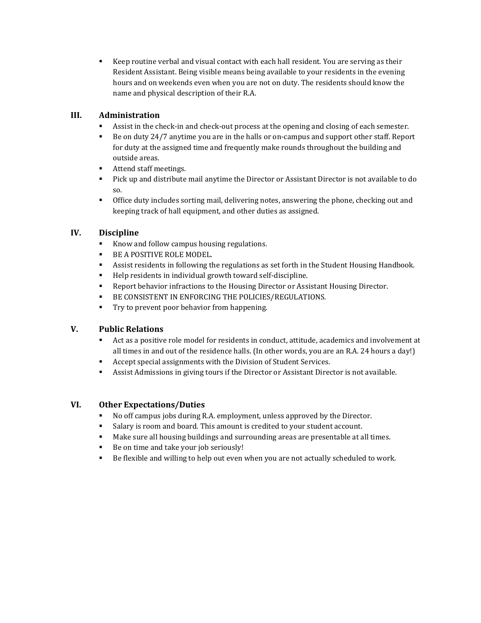Keep routine verbal and visual contact with each hall resident. You are serving as their Resident Assistant. Being visible means being available to your residents in the evening hours and on weekends even when you are not on duty. The residents should know the name and physical description of their R.A.

# **III. Administration**

- Assist in the check-in and check-out process at the opening and closing of each semester.<br>
Be on duty 24/7 anytime you are in the halls or on-campus and support other staff Report
- Be on duty 24/7 anytime you are in the halls or on-campus and support other staff. Report for duty at the assigned time and frequently make rounds throughout the building and outside areas.
- Attend staff meetings.
- Pick up and distribute mail anytime the Director or Assistant Director is not available to do so.
- Office duty includes sorting mail, delivering notes, answering the phone, checking out and keeping track of hall equipment, and other duties as assigned.

# **IV. Discipline**

- Know and follow campus housing regulations.
- **BE A POSITIVE ROLE MODEL.**
- Assist residents in following the regulations as set forth in the Student Housing Handbook.
- Help residents in individual growth toward self-discipline.
- Report behavior infractions to the Housing Director or Assistant Housing Director.
- **BE CONSISTENT IN ENFORCING THE POLICIES/REGULATIONS.**
- **Try to prevent poor behavior from happening.**

# **V. Public Relations**

- Act as a positive role model for residents in conduct, attitude, academics and involvement at all times in and out of the residence halls. (In other words, you are an R.A. 24 hours a day!)
- Accept special assignments with the Division of Student Services.
- Assist Admissions in giving tours if the Director or Assistant Director is not available.

# **VI. Other Expectations/Duties**

- No off campus jobs during R.A. employment, unless approved by the Director.
- Salary is room and board. This amount is credited to your student account.
- Make sure all housing buildings and surrounding areas are presentable at all times.
- Be on time and take your job seriously!
- Be flexible and willing to help out even when you are not actually scheduled to work.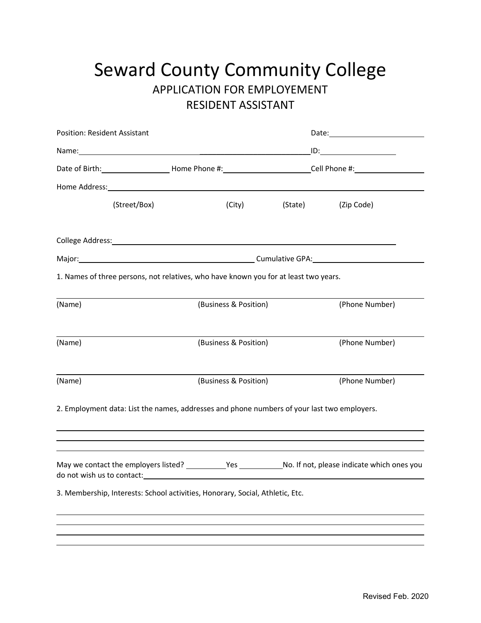# Seward County Community College APPLICATION FOR EMPLOYEMENT RESIDENT ASSISTANT

| <b>Position: Resident Assistant</b>                                                         |  |                                                                                  | <u>ID:____________________</u> |                |  |
|---------------------------------------------------------------------------------------------|--|----------------------------------------------------------------------------------|--------------------------------|----------------|--|
|                                                                                             |  |                                                                                  |                                |                |  |
|                                                                                             |  |                                                                                  |                                |                |  |
| (Street/Box)                                                                                |  | (City)                                                                           | (State)                        | (Zip Code)     |  |
|                                                                                             |  |                                                                                  |                                |                |  |
|                                                                                             |  |                                                                                  |                                |                |  |
| 1. Names of three persons, not relatives, who have known you for at least two years.        |  |                                                                                  |                                |                |  |
| (Name)                                                                                      |  | (Business & Position)                                                            |                                | (Phone Number) |  |
| (Name)                                                                                      |  | (Business & Position)                                                            |                                | (Phone Number) |  |
| (Name)                                                                                      |  | (Business & Position)                                                            |                                | (Phone Number) |  |
| 2. Employment data: List the names, addresses and phone numbers of your last two employers. |  |                                                                                  |                                |                |  |
|                                                                                             |  | ,我们也不会有什么。""我们的人,我们也不会有什么?""我们的人,我们也不会有什么?""我们的人,我们也不会有什么?""我们的人,我们也不会有什么?""我们的人 |                                |                |  |
| do not wish us to contact:                                                                  |  |                                                                                  |                                |                |  |
| 3. Membership, Interests: School activities, Honorary, Social, Athletic, Etc.               |  |                                                                                  |                                |                |  |
|                                                                                             |  |                                                                                  |                                |                |  |
|                                                                                             |  |                                                                                  |                                |                |  |
|                                                                                             |  |                                                                                  |                                |                |  |